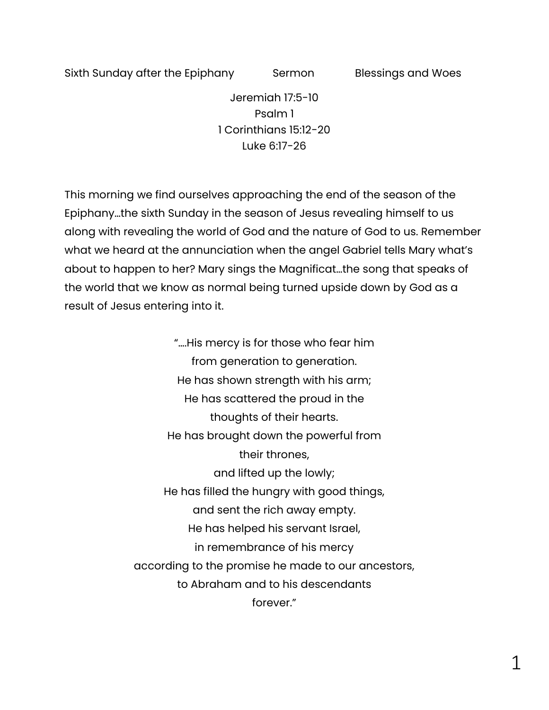Sixth Sunday after the Epiphany Sermon Blessings and Woes

Jeremiah 17:5-10 Psalm 1 1 Corinthians 15:12-20 Luke 6:17-26

This morning we find ourselves approaching the end of the season of the Epiphany…the sixth Sunday in the season of Jesus revealing himself to us along with revealing the world of God and the nature of God to us. Remember what we heard at the annunciation when the angel Gabriel tells Mary what's about to happen to her? Mary sings the Magnificat…the song that speaks of the world that we know as normal being turned upside down by God as a result of Jesus entering into it.

> "….His mercy is for those who fear him from generation to generation. He has shown strength with his arm; He has scattered the proud in the thoughts of their hearts. He has brought down the powerful from their thrones, and lifted up the lowly; He has filled the hungry with good things, and sent the rich away empty. He has helped his servant Israel, in remembrance of his mercy according to the promise he made to our ancestors, to Abraham and to his descendants forever."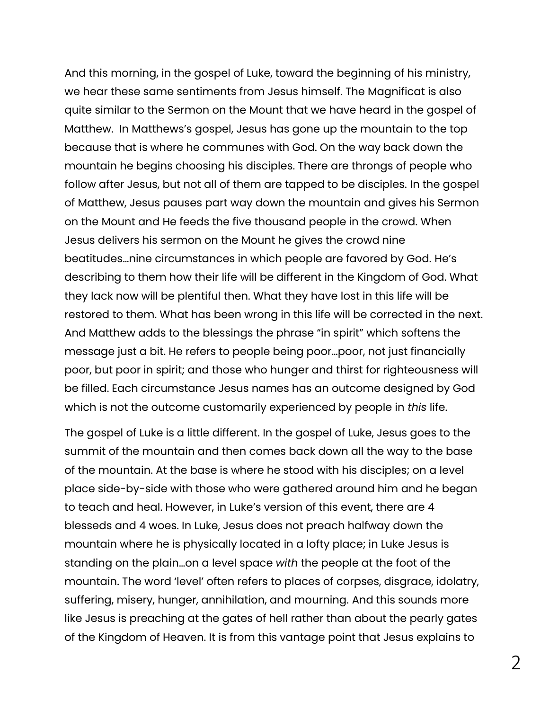And this morning, in the gospel of Luke, toward the beginning of his ministry, we hear these same sentiments from Jesus himself. The Magnificat is also quite similar to the Sermon on the Mount that we have heard in the gospel of Matthew. In Matthews's gospel, Jesus has gone up the mountain to the top because that is where he communes with God. On the way back down the mountain he begins choosing his disciples. There are throngs of people who follow after Jesus, but not all of them are tapped to be disciples. In the gospel of Matthew, Jesus pauses part way down the mountain and gives his Sermon on the Mount and He feeds the five thousand people in the crowd. When Jesus delivers his sermon on the Mount he gives the crowd nine beatitudes…nine circumstances in which people are favored by God. He's describing to them how their life will be different in the Kingdom of God. What they lack now will be plentiful then. What they have lost in this life will be restored to them. What has been wrong in this life will be corrected in the next. And Matthew adds to the blessings the phrase "in spirit" which softens the message just a bit. He refers to people being poor…poor, not just financially poor, but poor in spirit; and those who hunger and thirst for righteousness will be filled. Each circumstance Jesus names has an outcome designed by God which is not the outcome customarily experienced by people in *this* life.

The gospel of Luke is a little different. In the gospel of Luke, Jesus goes to the summit of the mountain and then comes back down all the way to the base of the mountain. At the base is where he stood with his disciples; on a level place side-by-side with those who were gathered around him and he began to teach and heal. However, in Luke's version of this event, there are 4 blesseds and 4 woes. In Luke, Jesus does not preach halfway down the mountain where he is physically located in a lofty place; in Luke Jesus is standing on the plain…on a level space *with* the people at the foot of the mountain. The word 'level' often refers to places of corpses, disgrace, idolatry, suffering, misery, hunger, annihilation, and mourning. And this sounds more like Jesus is preaching at the gates of hell rather than about the pearly gates of the Kingdom of Heaven. It is from this vantage point that Jesus explains to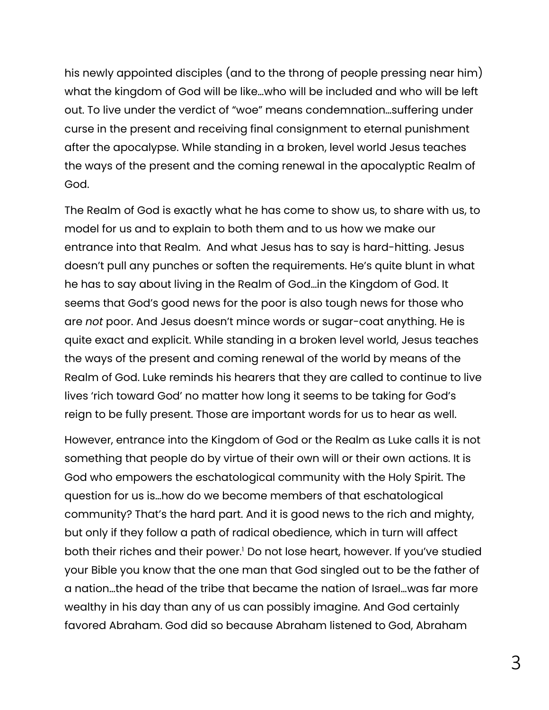his newly appointed disciples (and to the throng of people pressing near him) what the kingdom of God will be like…who will be included and who will be left out. To live under the verdict of "woe" means condemnation…suffering under curse in the present and receiving final consignment to eternal punishment after the apocalypse. While standing in a broken, level world Jesus teaches the ways of the present and the coming renewal in the apocalyptic Realm of God.

The Realm of God is exactly what he has come to show us, to share with us, to model for us and to explain to both them and to us how we make our entrance into that Realm. And what Jesus has to say is hard-hitting. Jesus doesn't pull any punches or soften the requirements. He's quite blunt in what he has to say about living in the Realm of God…in the Kingdom of God. It seems that God's good news for the poor is also tough news for those who are *not* poor. And Jesus doesn't mince words or sugar-coat anything. He is quite exact and explicit. While standing in a broken level world, Jesus teaches the ways of the present and coming renewal of the world by means of the Realm of God. Luke reminds his hearers that they are called to continue to live lives 'rich toward God' no matter how long it seems to be taking for God's reign to be fully present. Those are important words for us to hear as well.

However, entrance into the Kingdom of God or the Realm as Luke calls it is not something that people do by virtue of their own will or their own actions. It is God who empowers the eschatological community with the Holy Spirit. The question for us is…how do we become members of that eschatological community? That's the hard part. And it is good news to the rich and mighty, but only if they follow a path of radical obedience, which in turn will affect both their riches and their power.<sup>1</sup> Do not lose heart, however. If you've studied your Bible you know that the one man that God singled out to be the father of a nation…the head of the tribe that became the nation of Israel…was far more wealthy in his day than any of us can possibly imagine. And God certainly favored Abraham. God did so because Abraham listened to God, Abraham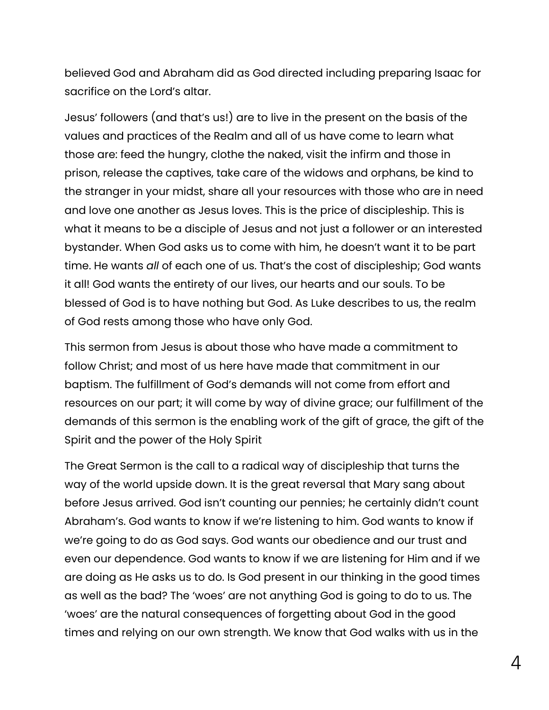believed God and Abraham did as God directed including preparing Isaac for sacrifice on the Lord's altar.

Jesus' followers (and that's us!) are to live in the present on the basis of the values and practices of the Realm and all of us have come to learn what those are: feed the hungry, clothe the naked, visit the infirm and those in prison, release the captives, take care of the widows and orphans, be kind to the stranger in your midst, share all your resources with those who are in need and love one another as Jesus loves. This is the price of discipleship. This is what it means to be a disciple of Jesus and not just a follower or an interested bystander. When God asks us to come with him, he doesn't want it to be part time. He wants *all* of each one of us. That's the cost of discipleship; God wants it all! God wants the entirety of our lives, our hearts and our souls. To be blessed of God is to have nothing but God. As Luke describes to us, the realm of God rests among those who have only God.

This sermon from Jesus is about those who have made a commitment to follow Christ; and most of us here have made that commitment in our baptism. The fulfillment of God's demands will not come from effort and resources on our part; it will come by way of divine grace; our fulfillment of the demands of this sermon is the enabling work of the gift of grace, the gift of the Spirit and the power of the Holy Spirit

The Great Sermon is the call to a radical way of discipleship that turns the way of the world upside down. It is the great reversal that Mary sang about before Jesus arrived. God isn't counting our pennies; he certainly didn't count Abraham's. God wants to know if we're listening to him. God wants to know if we're going to do as God says. God wants our obedience and our trust and even our dependence. God wants to know if we are listening for Him and if we are doing as He asks us to do. Is God present in our thinking in the good times as well as the bad? The 'woes' are not anything God is going to do to us. The 'woes' are the natural consequences of forgetting about God in the good times and relying on our own strength. We know that God walks with us in the